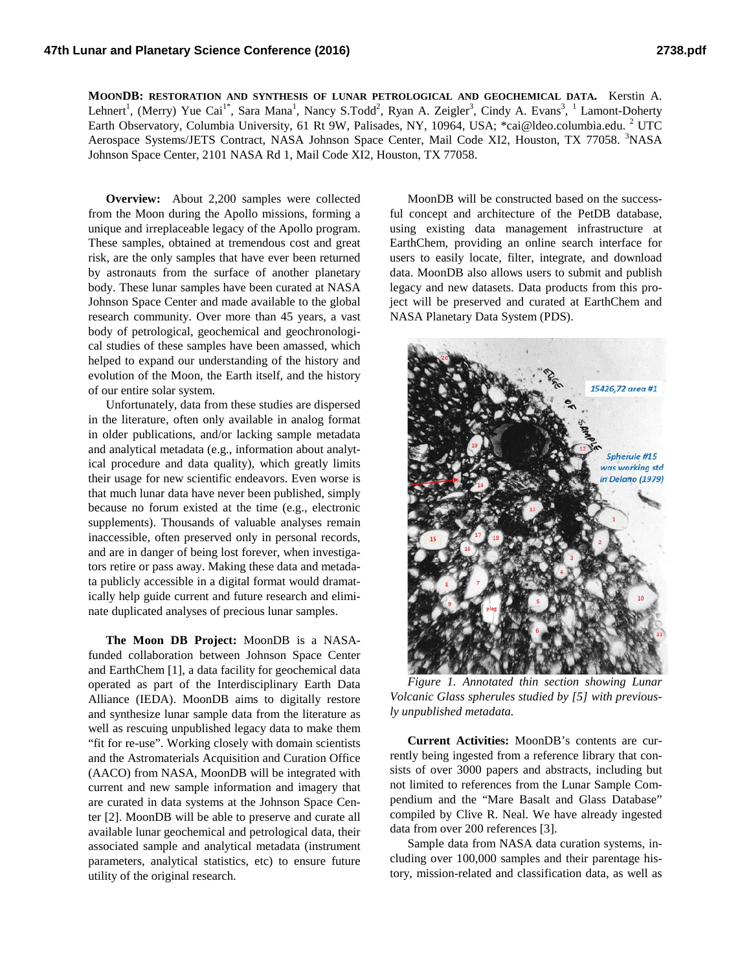**MOONDB: RESTORATION AND SYNTHESIS OF LUNAR PETROLOGICAL AND GEOCHEMICAL DATA.** Kerstin A. Lehnert<sup>1</sup>, (Merry) Yue Cai<sup>1\*</sup>, Sara Mana<sup>1</sup>, Nancy S.Todd<sup>2</sup>, Ryan A. Zeigler<sup>3</sup>, Cindy A. Evans<sup>3</sup>, <sup>1</sup> Lamont-Doherty Earth Observatory, Columbia University, 61 Rt 9W, Palisades, NY, 10964, USA; \*cai@ldeo.columbia.edu. <sup>2</sup> UTC Aerospace Systems/JETS Contract, NASA Johnson Space Center, Mail Code XI2, Houston, TX 77058. <sup>3</sup>NASA Johnson Space Center, 2101 NASA Rd 1, Mail Code XI2, Houston, TX 77058.

**Overview:** About 2,200 samples were collected from the Moon during the Apollo missions, forming a unique and irreplaceable legacy of the Apollo program. These samples, obtained at tremendous cost and great risk, are the only samples that have ever been returned by astronauts from the surface of another planetary body. These lunar samples have been curated at NASA Johnson Space Center and made available to the global research community. Over more than 45 years, a vast body of petrological, geochemical and geochronological studies of these samples have been amassed, which helped to expand our understanding of the history and evolution of the Moon, the Earth itself, and the history of our entire solar system.

Unfortunately, data from these studies are dispersed in the literature, often only available in analog format in older publications, and/or lacking sample metadata and analytical metadata (e.g., information about analytical procedure and data quality), which greatly limits their usage for new scientific endeavors. Even worse is that much lunar data have never been published, simply because no forum existed at the time (e.g., electronic supplements). Thousands of valuable analyses remain inaccessible, often preserved only in personal records, and are in danger of being lost forever, when investigators retire or pass away. Making these data and metadata publicly accessible in a digital format would dramatically help guide current and future research and eliminate duplicated analyses of precious lunar samples.

**The Moon DB Project:** MoonDB is a NASAfunded collaboration between Johnson Space Center and EarthChem [1], a data facility for geochemical data operated as part of the Interdisciplinary Earth Data Alliance (IEDA). MoonDB aims to digitally restore and synthesize lunar sample data from the literature as well as rescuing unpublished legacy data to make them "fit for re-use". Working closely with domain scientists and the Astromaterials Acquisition and Curation Office (AACO) from NASA, MoonDB will be integrated with current and new sample information and imagery that are curated in data systems at the Johnson Space Center [2]. MoonDB will be able to preserve and curate all available lunar geochemical and petrological data, their associated sample and analytical metadata (instrument parameters, analytical statistics, etc) to ensure future utility of the original research.

MoonDB will be constructed based on the successful concept and architecture of the PetDB database, using existing data management infrastructure at EarthChem, providing an online search interface for users to easily locate, filter, integrate, and download data. MoonDB also allows users to submit and publish legacy and new datasets. Data products from this project will be preserved and curated at EarthChem and NASA Planetary Data System (PDS).



*Figure 1. Annotated thin section showing Lunar Volcanic Glass spherules studied by [5] with previously unpublished metadata.*

**Current Activities:** MoonDB's contents are currently being ingested from a reference library that consists of over 3000 papers and abstracts, including but not limited to references from the Lunar Sample Compendium and the "Mare Basalt and Glass Database" compiled by Clive R. Neal. We have already ingested data from over 200 references [3].

Sample data from NASA data curation systems, including over 100,000 samples and their parentage history, mission-related and classification data, as well as